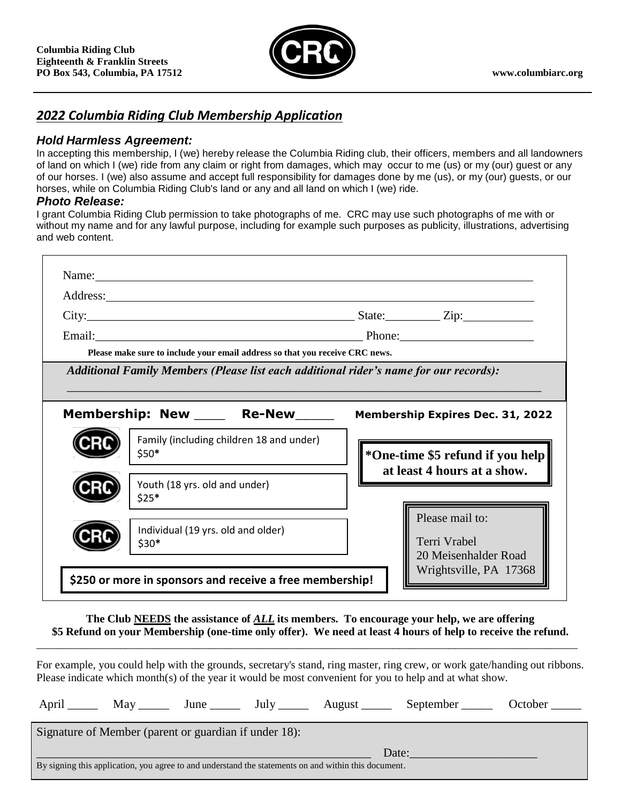

# *2022 Columbia Riding Club Membership Application*

# *Hold Harmless Agreement:*

In accepting this membership, I (we) hereby release the Columbia Riding club, their officers, members and all landowners of land on which I (we) ride from any claim or right from damages, which may occur to me (us) or my (our) guest or any of our horses. I (we) also assume and accept full responsibility for damages done by me (us), or my (our) guests, or our horses, while on Columbia Riding Club's land or any and all land on which I (we) ride.

## *Photo Release:*

I grant Columbia Riding Club permission to take photographs of me. CRC may use such photographs of me with or without my name and for any lawful purpose, including for example such purposes as publicity, illustrations, advertising and web content.

| Please make sure to include your email address so that you receive CRC news.                                                |                                                |  |  |  |  |  |
|-----------------------------------------------------------------------------------------------------------------------------|------------------------------------------------|--|--|--|--|--|
| Additional Family Members (Please list each additional rider's name for our records):<br>Membership: New _____ Re-New _____ | <b>Membership Expires Dec. 31, 2022</b>        |  |  |  |  |  |
|                                                                                                                             |                                                |  |  |  |  |  |
| Family (including children 18 and under)<br>$$50*$                                                                          | *One-time \$5 refund if you help               |  |  |  |  |  |
| Youth (18 yrs. old and under)<br>$$25*$                                                                                     | at least 4 hours at a show.<br>Please mail to: |  |  |  |  |  |

**The Club NEEDS the assistance of** *ALL* **its members. To encourage your help, we are offering \$5 Refund on your Membership (one-time only offer). We need at least 4 hours of help to receive the refund.**

\_\_\_\_\_\_\_\_\_\_\_\_\_\_\_\_\_\_\_\_\_\_\_\_\_\_\_\_\_\_\_\_\_\_\_\_\_\_\_\_\_\_\_\_\_\_\_\_\_\_\_\_\_\_\_\_\_\_\_\_\_\_\_\_\_\_\_\_\_\_\_\_\_\_\_\_\_\_\_\_\_\_\_\_\_\_\_\_\_\_\_\_\_\_\_\_\_

For example, you could help with the grounds, secretary's stand, ring master, ring crew, or work gate/handing out ribbons. Please indicate which month(s) of the year it would be most convenient for you to help and at what show.

| April                                                                                                         | May |  | June July | August ______ | September | October |  |  |  |
|---------------------------------------------------------------------------------------------------------------|-----|--|-----------|---------------|-----------|---------|--|--|--|
| Signature of Member (parent or guardian if under 18):                                                         |     |  |           |               |           |         |  |  |  |
| Date:<br>By signing this application, you agree to and understand the statements on and within this document. |     |  |           |               |           |         |  |  |  |